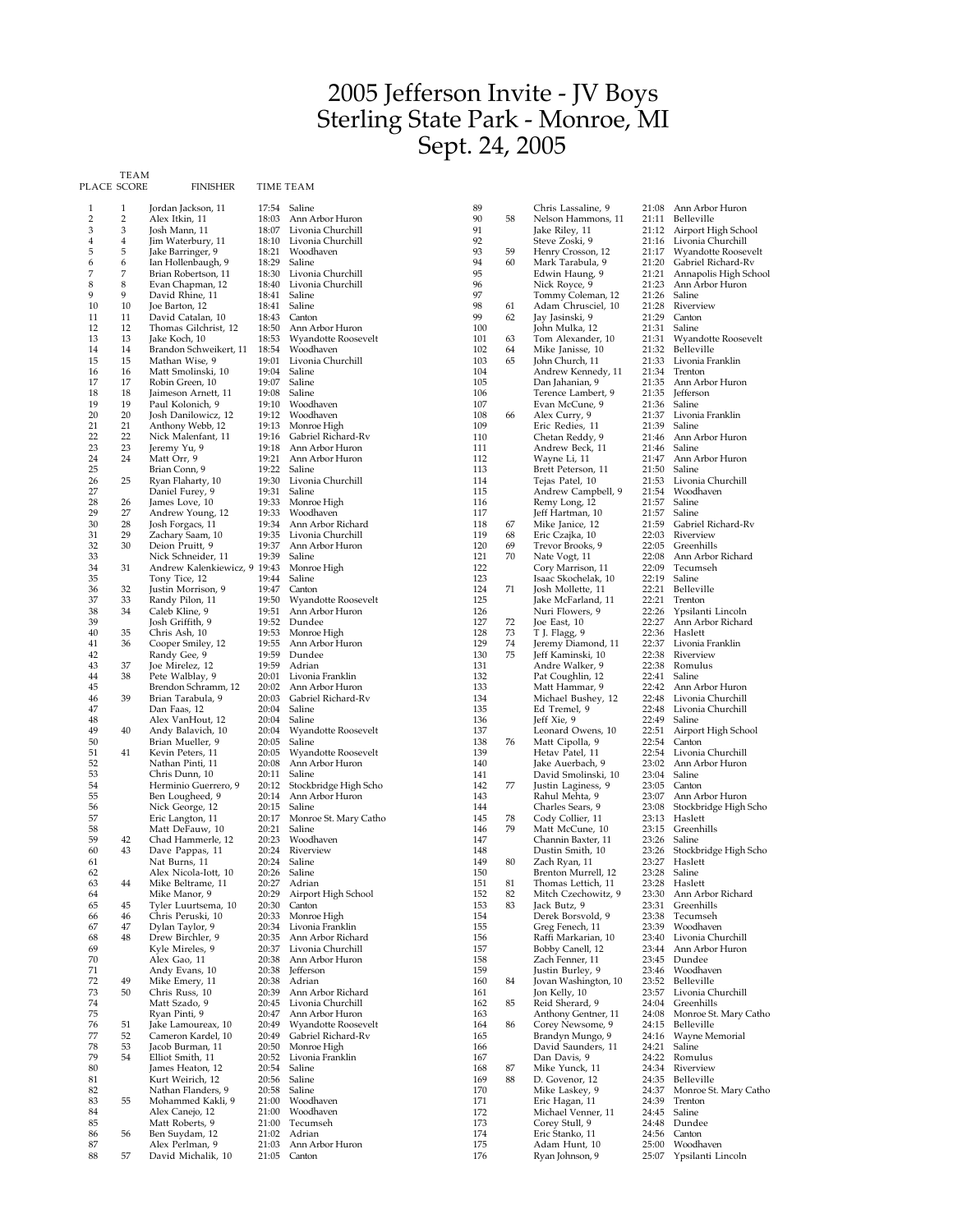## 2005 Jefferson Invite - JV Boys Sterling State Park - Monroe, MI Sept. 24, 2005

TEAM<br>PLACE SCORE

FINISHER TIME TEAM

| 1              | 1              | Jordan Jackson, 11                     | 17:54          | Saline                                 | 89         |          | Chris Lassaline, 9                      | 21:08          | Ann Arbor Huron                          |
|----------------|----------------|----------------------------------------|----------------|----------------------------------------|------------|----------|-----------------------------------------|----------------|------------------------------------------|
| $\overline{2}$ | $\overline{2}$ | Alex Itkin, 11                         | 18:03          | Ann Arbor Huron                        | 90         | 58       | Nelson Hammons, 11                      | 21:11          | Belleville                               |
| 3<br>4         | 3              | Josh Mann, 11                          | 18:07<br>18:10 | Livonia Churchill<br>Livonia Churchill | 91<br>92   |          | Jake Riley, 11                          | 21:12          | Airport High School                      |
| 5              | $\bf{4}$<br>5  | Jim Waterbury, 11<br>Jake Barringer, 9 | 18:21          | Woodhaven                              | 93         | 59       | Steve Zoski, 9<br>Henry Crosson, 12     | 21:16<br>21:17 | Livonia Churchill<br>Wyandotte Roosevelt |
| 6              | 6              | Ian Hollenbaugh, 9                     | 18:29          | Saline                                 | 94         | 60       | Mark Tarabula, 9                        | 21:20          | Gabriel Richard-Rv                       |
| 7              | 7              | Brian Robertson, 11                    | 18:30          | Livonia Churchill                      | 95         |          | Edwin Haung, 9                          | 21:21          | Annapolis High School                    |
| 8              | 8              | Evan Chapman, 12                       | 18:40          | Livonia Churchill                      | 96         |          | Nick Royce, 9                           | 21:23          | Ann Arbor Huron                          |
| 9              | 9              | David Rhine, 11                        | 18:41          | Saline                                 | 97         |          | Tommy Coleman, 12<br>Adam Chrusciel, 10 | 21:26          | Saline<br>Riverview                      |
| 10<br>11       | 10<br>11       | Joe Barton, 12<br>David Catalan, 10    | 18:41<br>18:43 | Saline<br>Canton                       | 98<br>99   | 61<br>62 | Jay Jasinski, 9                         | 21:28<br>21:29 | Canton                                   |
| 12             | 12             | Thomas Gilchrist, 12                   | 18:50          | Ann Arbor Huron                        | 100        |          | John Mulka, 12                          | 21:31          | Saline                                   |
| 13             | 13             | Jake Koch, 10                          | 18:53          | Wyandotte Roosevelt                    | 101        | 63       | Tom Alexander, 10                       | 21:31          | Wyandotte Roosevelt                      |
| 14             | 14             | Brandon Schweikert, 11                 | 18:54          | Woodhaven                              | 102        | 64       | Mike Janisse, 10                        | 21:32          | Belleville                               |
| 15             | 15             | Mathan Wise, 9                         | 19:01          | Livonia Churchill                      | 103        | 65       | John Church, 11                         | 21:33          | Livonia Franklin                         |
| 16<br>17       | 16<br>17       | Matt Smolinski, 10<br>Robin Green, 10  | 19:04<br>19:07 | Saline<br>Saline                       | 104<br>105 |          | Andrew Kennedy, 11                      | 21:34<br>21:35 | Trenton<br>Ann Arbor Huron               |
| 18             | 18             | Jaimeson Arnett, 11                    | 19:08          | Saline                                 | 106        |          | Dan Jahanian, 9<br>Terence Lambert, 9   | 21:35          | <b>Jefferson</b>                         |
| 19             | 19             | Paul Kolonich, 9                       | 19:10          | Woodhaven                              | 107        |          | Evan McCune, 9                          | 21:36          | Saline                                   |
| 20             | 20             | Josh Danilowicz, 12                    | 19:12          | Woodhaven                              | 108        | 66       | Alex Curry, 9                           | 21:37          | Livonia Franklin                         |
| 21             | 21             | Anthony Webb, 12                       | 19:13          | Monroe High                            | 109        |          | Eric Redies, 11                         | 21:39          | Saline                                   |
| 22             | 22<br>23       | Nick Malenfant, 11                     | 19:16          | Gabriel Richard-Rv                     | 110        |          | Chetan Reddy, 9                         | 21:46          | Ann Arbor Huron                          |
| 23<br>24       | 24             | Jeremy Yu, 9<br>Matt Orr, 9            | 19:18<br>19:21 | Ann Arbor Huron<br>Ann Arbor Huron     | 111<br>112 |          | Andrew Beck, 11<br>Wayne Li, 11         | 21:46<br>21:47 | Saline<br>Ann Arbor Huron                |
| 25             |                | Brian Conn, 9                          | 19:22          | Saline                                 | 113        |          | Brett Peterson, 11                      | 21:50          | Saline                                   |
| 26             | 25             | Ryan Flaharty, 10                      | 19:30          | Livonia Churchill                      | 114        |          | Tejas Patel, 10                         | 21:53          | Livonia Churchill                        |
| 27             |                | Daniel Furey, 9                        | 19:31          | Saline                                 | 115        |          | Andrew Campbell, 9                      | 21:54          | Woodhaven                                |
| 28             | 26             | James Love, 10                         | 19:33          | Monroe High                            | 116        |          | Remy Long, 12                           | 21:57          | Saline                                   |
| 29<br>30       | 27             | Andrew Young, 12                       | 19:33<br>19:34 | Woodhaven<br>Ann Arbor Richard         | 117<br>118 |          | Jeff Hartman, 10                        | 21:57<br>21:59 | Saline<br>Gabriel Richard-Rv             |
| 31             | 28<br>29       | Josh Forgacs, 11<br>Zachary Saam, 10   | 19:35          | Livonia Churchill                      | 119        | 67<br>68 | Mike Janice, 12<br>Eric Czajka, 10      | 22:03          | Riverview                                |
| 32             | 30             | Deion Pruitt, 9                        | 19:37          | Ann Arbor Huron                        | 120        | 69       | Trevor Brooks, 9                        | 22:05          | Greenhills                               |
| 33             |                | Nick Schneider, 11                     | 19:39          | Saline                                 | 121        | 70       | Nate Vogt, 11                           | 22:08          | Ann Arbor Richard                        |
| 34             | 31             | Andrew Kalenkiewicz, 9 19:43           |                | Monroe High                            | 122        |          | Cory Marrison, 11                       | 22:09          | Tecumseh                                 |
| 35             |                | Tony Tice, 12                          | 19:44          | Saline                                 | 123        |          | Isaac Skochelak, 10                     | 22:19          | Saline                                   |
| 36<br>37       | 32<br>33       | Justin Morrison, 9<br>Randy Pilon, 11  | 19:47<br>19:50 | Canton<br>Wyandotte Roosevelt          | 124<br>125 | 71       | Josh Mollette, 11<br>Jake McFarland, 11 | 22:21<br>22:21 | Belleville<br>Trenton                    |
| 38             | 34             | Caleb Kline, 9                         | 19:51          | Ann Arbor Huron                        | 126        |          | Nuri Flowers, 9                         | 22:26          | Ypsilanti Lincoln                        |
| 39             |                | Josh Griffith, 9                       | 19:52          | Dundee                                 | 127        | 72       | Joe East, 10                            | 22:27          | Ann Arbor Richard                        |
| 40             | 35             | Chris Ash, 10                          | 19:53          | Monroe High                            | 128        | 73       | T J. Flagg, 9                           | 22:36          | Haslett                                  |
| 41             | 36             | Cooper Smiley, 12                      | 19:55          | Ann Arbor Huron                        | 129        | 74       | Jeremy Diamond, 11                      | 22:37          | Livonia Franklin                         |
| 42             |                | Randy Gee, 9                           | 19:59          | Dundee                                 | 130        | 75       | Jeff Kaminski, 10                       | 22:38          | Riverview                                |
| 43<br>44       | 37<br>38       | Joe Mirelez, 12<br>Pete Walblay, 9     | 19:59<br>20:01 | Adrian<br>Livonia Franklin             | 131<br>132 |          | Andre Walker, 9<br>Pat Coughlin, 12     | 22:38<br>22:41 | Romulus<br>Saline                        |
| 45             |                | Brendon Schramm, 12                    | 20:02          | Ann Arbor Huron                        | 133        |          | Matt Hammar, 9                          | 22:42          | Ann Arbor Huron                          |
| 46             | 39             | Brian Tarabula, 9                      | 20:03          | Gabriel Richard-Rv                     | 134        |          | Michael Bushey, 12                      | 22:48          | Livonia Churchill                        |
| 47             |                | Dan Faas, 12                           | 20:04          | Saline                                 | 135        |          | Ed Tremel, 9                            | 22:48          | Livonia Churchill                        |
| 48             |                | Alex VanHout, 12                       | 20:04          | Saline                                 | 136        |          | Jeff Xie, 9                             | 22:49          | Saline                                   |
| 49<br>50       | 40             | Andy Balavich, 10<br>Brian Mueller, 9  | 20:04<br>20:05 | Wyandotte Roosevelt<br>Saline          | 137<br>138 | 76       | Leonard Owens, 10<br>Matt Cipolla, 9    | 22:51<br>22:54 | Airport High School<br>Canton            |
| 51             | 41             | Kevin Peters, 11                       | 20:05          | Wyandotte Roosevelt                    | 139        |          | Hetav Patel, 11                         | 22:54          | Livonia Churchill                        |
| 52             |                | Nathan Pinti, 11                       | 20:08          | Ann Arbor Huron                        | 140        |          | Jake Auerbach, 9                        | 23:02          | Ann Arbor Huron                          |
| 53             |                | Chris Dunn, 10                         | 20:11          | Saline                                 | 141        |          | David Smolinski, 10                     | 23:04          | Saline                                   |
| 54             |                | Herminio Guerrero, 9                   | 20:12          | Stockbridge High Scho                  | 142        | 77       | Justin Laginess, 9                      | 23:05          | Canton                                   |
| 55<br>56       |                | Ben Lougheed, 9<br>Nick George, 12     | 20:14<br>20:15 | Ann Arbor Huron<br>Saline              | 143<br>144 |          | Rahul Mehta, 9<br>Charles Sears, 9      | 23:07<br>23:08 | Ann Arbor Huron<br>Stockbridge High Scho |
| 57             |                | Eric Langton, 11                       | 20:17          | Monroe St. Mary Catho                  | 145        | 78       | Cody Collier, 11                        | 23:13          | Haslett                                  |
| 58             |                | Matt DeFauw, 10                        | 20:21          | Saline                                 | 146        | 79       | Matt McCune, 10                         | 23:15          | Greenhills                               |
| 59             | 42             | Chad Hammerle, 12                      | 20:23          | Woodhaven                              | 147        |          | Channin Baxter, 11                      | 23:26          | Saline                                   |
| 60             | 43             | Dave Pappas, 11                        | 20:24          | Riverview                              | 148        |          | Dustin Smith, 10                        | 23:26          | Stockbridge High Scho                    |
| 61<br>62       |                | Nat Burns, 11<br>Alex Nicola-Iott, 10  | 20:24<br>20:26 | Saline<br>Saline                       | 149<br>150 | 80       | Zach Ryan, 11<br>Brenton Murrell, 12    | 23:27<br>23:28 | Haslett<br>Saline                        |
| 63             | 44             | Mike Beltrame, 11                      |                | 20:27 Adrian                           | 151        | 81       | Thomas Lettich, 11                      |                | 23:28 Haslett                            |
| 64             |                | Mike Manor, 9                          | 20:29          | Airport High School                    | 152        | 82       | Mitch Czechowitz, 9                     | 23:30          | Ann Arbor Richard                        |
| 65             | 45             | Tyler Luurtsema, 10                    | 20:30          | Canton                                 | 153        | 83       | Jack Butz, 9                            | 23:31          | Greenhills                               |
| 66             | 46             | Chris Peruski, 10                      | 20:33          | Monroe High                            | 154        |          | Derek Borsvold, 9                       | 23:38          | Tecumseh                                 |
| 67             | 47<br>48       | Dylan Taylor, 9                        | 20:34<br>20:35 | Livonia Franklin<br>Ann Arbor Richard  | 155        |          | Greg Fenech, 11                         | 23:39<br>23:40 | Woodhaven<br>Livonia Churchill           |
| 68<br>69       |                | Drew Birchler, 9<br>Kyle Mireles, 9    | 20:37          | Livonia Churchill                      | 156<br>157 |          | Raffi Markarian, 10<br>Bobby Canell, 12 | 23:44          | Ann Arbor Huron                          |
| 70             |                | Alex Gao, 11                           | 20:38          | Ann Arbor Huron                        | 158        |          | Zach Fenner, 11                         | 23:45          | Dundee                                   |
| 71             |                | Andy Evans, 10                         | 20:38          | Jefferson                              | 159        |          | Justin Burley, 9                        | 23:46          | Woodhaven                                |
| 72             | 49             | Mike Emery, 11                         | 20:38          | Adrian                                 | 160        | 84       | Jovan Washington, 10                    | 23:52          | Belleville                               |
| 73             | 50             | Chris Russ, 10                         | 20:39          | Ann Arbor Richard                      | 161        |          | Jon Kelly, 10                           | 23:57          | Livonia Churchill                        |
| 74<br>75       |                | Matt Szado, 9<br>Ryan Pinti, 9         | 20:45<br>20:47 | Livonia Churchill<br>Ann Arbor Huron   | 162<br>163 | 85       | Reid Sherard, 9<br>Anthony Gentner, 11  | 24:04<br>24:08 | Greenhills<br>Monroe St. Mary Catho      |
| 76             | 51             | Jake Lamoureax, 10                     | 20:49          | Wyandotte Roosevelt                    | 164        | 86       | Corey Newsome, 9                        | 24:15          | Belleville                               |
| 77             | 52             | Cameron Kardel, 10                     | 20:49          | Gabriel Richard-Rv                     | 165        |          | Brandyn Mungo, 9                        | 24:16          | Wayne Memorial                           |
| 78             | 53             | Jacob Burman, 11                       | 20:50          | Monroe High                            | 166        |          | David Saunders, 11                      | 24:21          | Saline                                   |
| 79             | 54             | Elliot Smith, 11                       | 20:52          | Livonia Franklin                       | 167        |          | Dan Davis, 9                            | 24:22          | Romulus                                  |
| 80<br>81       |                | James Heaton, 12<br>Kurt Weirich, 12   | 20:54<br>20:56 | Saline<br>Saline                       | 168<br>169 | 87<br>88 | Mike Yunck, 11<br>D. Govenor, 12        | 24:34<br>24:35 | Riverview<br>Belleville                  |
| 82             |                | Nathan Flanders, 9                     | 20:58          | Saline                                 | 170        |          | Mike Laskey, 9                          | 24:37          | Monroe St. Mary Catho                    |
| 83             | 55             | Mohammed Kakli, 9                      | 21:00          | Woodhaven                              | 171        |          | Eric Hagan, 11                          | 24:39          | Trenton                                  |
| 84             |                | Alex Canejo, 12                        | 21:00          | Woodhaven                              | 172        |          | Michael Venner, 11                      | 24:45          | Saline                                   |
| 85             |                | Matt Roberts, 9                        | 21:00          | Tecumseh                               | 173        |          | Corey Stull, 9                          | 24:48          | Dundee                                   |
| 86<br>87       | 56             | Ben Suydam, 12<br>Alex Perlman, 9      | 21:02          | Adrian<br>Ann Arbor Huron              | 174<br>175 |          | Eric Stanko, 11<br>Adam Hunt, 10        | 24:56          | Canton<br>Woodhaven                      |
| 88             | 57             | David Michalik, 10                     | 21:03<br>21:05 | Canton                                 | 176        |          | Ryan Johnson, 9                         | 25:00          | 25:07 Ypsilanti Lincoln                  |
|                |                |                                        |                |                                        |            |          |                                         |                |                                          |